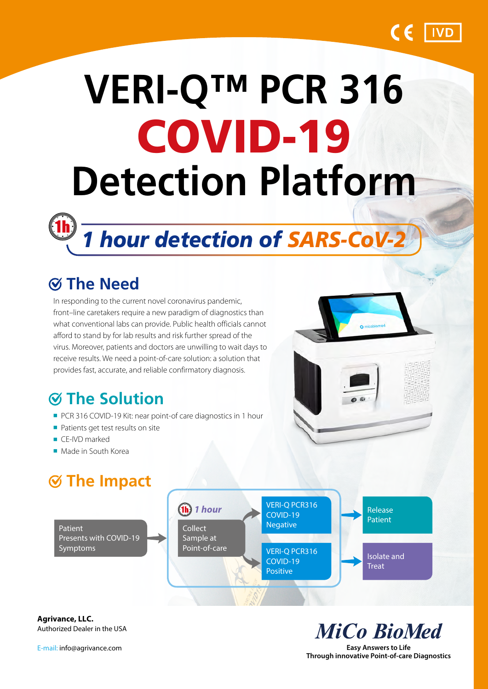

# **VERI-Q™ PCR 316** COVID-19 **Detection Platform**



## **The Need**

In responding to the current novel coronavirus pandemic, front–line caretakers require a new paradigm of diagnostics than what conventional labs can provide. Public health officials cannot afford to stand by for lab results and risk further spread of the virus. Moreover, patients and doctors are unwilling to wait days to receive results. We need a point-of-care solution: a solution that provides fast, accurate, and reliable confirmatory diagnosis.

## **The Solution**

- PCR 316 COVID-19 Kit: near point-of care diagnostics in 1 hour
- Patients get test results on site
- CE-IVD marked
- Made in South Korea

## **The Impact**



**Agrivance, LLC.** Authorized Dealer in the USA

E-mail: info@agrivance.com

**MiCo BioMed** 

**Easy Answers to Life Through innovative Point-of-care Diagnostics**